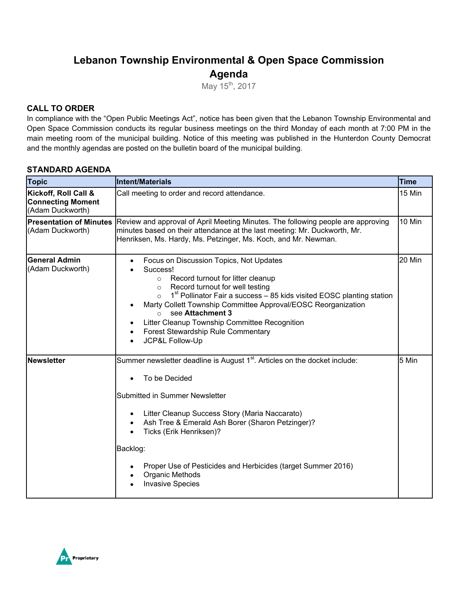# **Lebanon Township Environmental & Open Space Commission Agenda**

May 15<sup>th</sup>, 2017

## **CALL TO ORDER**

In compliance with the "Open Public Meetings Act", notice has been given that the Lebanon Township Environmental and Open Space Commission conducts its regular business meetings on the third Monday of each month at 7:00 PM in the main meeting room of the municipal building. Notice of this meeting was published in the Hunterdon County Democrat and the monthly agendas are posted on the bulletin board of the municipal building.

## **STANDARD AGENDA**

| <b>Topic</b>                                                         | <b>Intent/Materials</b>                                                                                                                                                                                                                                                                                                                                                                                                                                                     | <b>Time</b> |
|----------------------------------------------------------------------|-----------------------------------------------------------------------------------------------------------------------------------------------------------------------------------------------------------------------------------------------------------------------------------------------------------------------------------------------------------------------------------------------------------------------------------------------------------------------------|-------------|
| Kickoff, Roll Call &<br><b>Connecting Moment</b><br>(Adam Duckworth) | Call meeting to order and record attendance.                                                                                                                                                                                                                                                                                                                                                                                                                                | 15 Min      |
| <b>Presentation of Minutes</b><br>(Adam Duckworth)                   | Review and approval of April Meeting Minutes. The following people are approving<br>minutes based on their attendance at the last meeting: Mr. Duckworth, Mr.<br>Henriksen, Ms. Hardy, Ms. Petzinger, Ms. Koch, and Mr. Newman.                                                                                                                                                                                                                                             | 10 Min      |
| <b>General Admin</b><br>(Adam Duckworth)                             | Focus on Discussion Topics, Not Updates<br>$\bullet$<br>Success!<br>Record turnout for litter cleanup<br>$\circ$<br>Record turnout for well testing<br>$\circ$<br>$1st$ Pollinator Fair a success – 85 kids visited EOSC planting station<br>$\circ$<br>Marty Collett Township Committee Approval/EOSC Reorganization<br>see Attachment 3<br>$\circ$<br>Litter Cleanup Township Committee Recognition<br>Forest Stewardship Rule Commentary<br>$\bullet$<br>JCP&L Follow-Up | 20 Min      |
| Newsletter                                                           | Summer newsletter deadline is August 1 <sup>st</sup> . Articles on the docket include:<br>To be Decided<br>Submitted in Summer Newsletter<br>Litter Cleanup Success Story (Maria Naccarato)<br>$\bullet$<br>Ash Tree & Emerald Ash Borer (Sharon Petzinger)?<br>Ticks (Erik Henriksen)?<br>Backlog:<br>Proper Use of Pesticides and Herbicides (target Summer 2016)<br><b>Organic Methods</b><br><b>Invasive Species</b>                                                    | 5 Min       |

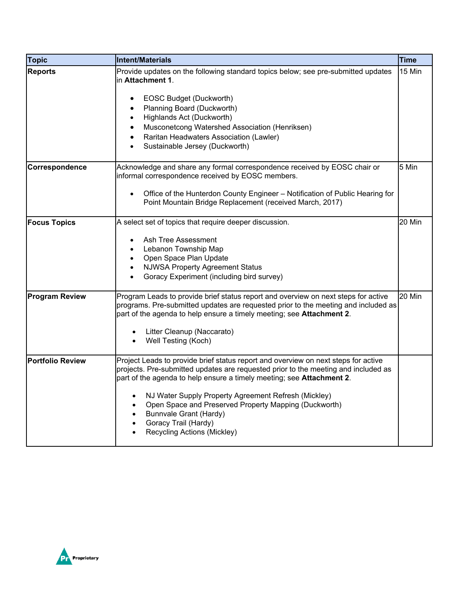| <b>Topic</b>            | <b>Intent/Materials</b>                                                                                                                                                                                                                                                                                                                                                                                                                                                 | <b>Time</b> |
|-------------------------|-------------------------------------------------------------------------------------------------------------------------------------------------------------------------------------------------------------------------------------------------------------------------------------------------------------------------------------------------------------------------------------------------------------------------------------------------------------------------|-------------|
| <b>Reports</b>          | Provide updates on the following standard topics below; see pre-submitted updates<br>in Attachment 1.                                                                                                                                                                                                                                                                                                                                                                   | 15 Min      |
|                         | EOSC Budget (Duckworth)<br>$\bullet$<br>Planning Board (Duckworth)<br>Highlands Act (Duckworth)<br>$\bullet$<br>Musconetcong Watershed Association (Henriksen)                                                                                                                                                                                                                                                                                                          |             |
|                         | Raritan Headwaters Association (Lawler)<br>Sustainable Jersey (Duckworth)<br>$\bullet$                                                                                                                                                                                                                                                                                                                                                                                  |             |
| Correspondence          | Acknowledge and share any formal correspondence received by EOSC chair or<br>informal correspondence received by EOSC members.                                                                                                                                                                                                                                                                                                                                          | 5 Min       |
|                         | Office of the Hunterdon County Engineer - Notification of Public Hearing for<br>Point Mountain Bridge Replacement (received March, 2017)                                                                                                                                                                                                                                                                                                                                |             |
| <b>Focus Topics</b>     | A select set of topics that require deeper discussion.<br>Ash Tree Assessment<br>Lebanon Township Map<br>$\bullet$<br>Open Space Plan Update<br>$\bullet$<br><b>NJWSA Property Agreement Status</b><br>Goracy Experiment (including bird survey)<br>$\bullet$                                                                                                                                                                                                           | 20 Min      |
| <b>Program Review</b>   | Program Leads to provide brief status report and overview on next steps for active<br>programs. Pre-submitted updates are requested prior to the meeting and included as<br>part of the agenda to help ensure a timely meeting; see Attachment 2.<br>Litter Cleanup (Naccarato)<br>Well Testing (Koch)                                                                                                                                                                  | 20 Min      |
| <b>Portfolio Review</b> | Project Leads to provide brief status report and overview on next steps for active<br>projects. Pre-submitted updates are requested prior to the meeting and included as<br>part of the agenda to help ensure a timely meeting; see Attachment 2.<br>NJ Water Supply Property Agreement Refresh (Mickley)<br>Open Space and Preserved Property Mapping (Duckworth)<br><b>Bunnvale Grant (Hardy)</b><br>$\bullet$<br>Goracy Trail (Hardy)<br>Recycling Actions (Mickley) |             |

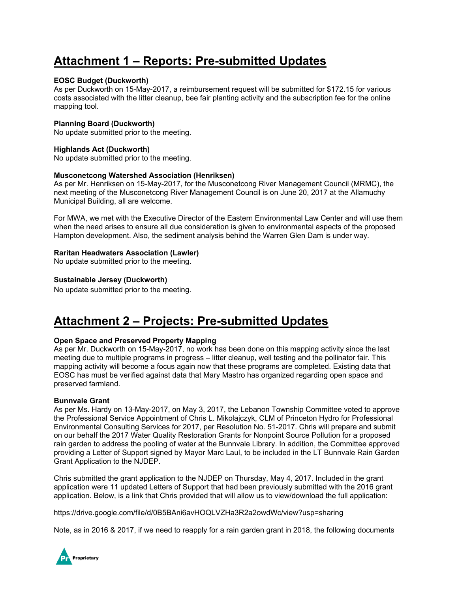# **Attachment 1 – Reports: Pre-submitted Updates**

#### **EOSC Budget (Duckworth)**

As per Duckworth on 15-May-2017, a reimbursement request will be submitted for \$172.15 for various costs associated with the litter cleanup, bee fair planting activity and the subscription fee for the online mapping tool.

#### **Planning Board (Duckworth)**

No update submitted prior to the meeting.

#### **Highlands Act (Duckworth)**

No update submitted prior to the meeting.

#### **Musconetcong Watershed Association (Henriksen)**

As per Mr. Henriksen on 15-May-2017, for the Musconetcong River Management Council (MRMC), the next meeting of the Musconetcong River Management Council is on June 20, 2017 at the Allamuchy Municipal Building, all are welcome.

For MWA, we met with the Executive Director of the Eastern Environmental Law Center and will use them when the need arises to ensure all due consideration is given to environmental aspects of the proposed Hampton development. Also, the sediment analysis behind the Warren Glen Dam is under way.

#### **Raritan Headwaters Association (Lawler)**

No update submitted prior to the meeting.

#### **Sustainable Jersey (Duckworth)**

No update submitted prior to the meeting.

# **Attachment 2 – Projects: Pre-submitted Updates**

#### **Open Space and Preserved Property Mapping**

As per Mr. Duckworth on 15-May-2017, no work has been done on this mapping activity since the last meeting due to multiple programs in progress – litter cleanup, well testing and the pollinator fair. This mapping activity will become a focus again now that these programs are completed. Existing data that EOSC has must be verified against data that Mary Mastro has organized regarding open space and preserved farmland.

#### **Bunnvale Grant**

As per Ms. Hardy on 13-May-2017, on May 3, 2017, the Lebanon Township Committee voted to approve the Professional Service Appointment of Chris L. Mikolajczyk, CLM of Princeton Hydro for Professional Environmental Consulting Services for 2017, per Resolution No. 51-2017. Chris will prepare and submit on our behalf the 2017 Water Quality Restoration Grants for Nonpoint Source Pollution for a proposed rain garden to address the pooling of water at the Bunnvale Library. In addition, the Committee approved providing a Letter of Support signed by Mayor Marc Laul, to be included in the LT Bunnvale Rain Garden Grant Application to the NJDEP.

Chris submitted the grant application to the NJDEP on Thursday, May 4, 2017. Included in the grant application were 11 updated Letters of Support that had been previously submitted with the 2016 grant application. Below, is a link that Chris provided that will allow us to view/download the full application:

https://drive.google.com/file/d/0B5BAni6avHOQLVZHa3R2a2owdWc/view?usp=sharing

Note, as in 2016 & 2017, if we need to reapply for a rain garden grant in 2018, the following documents

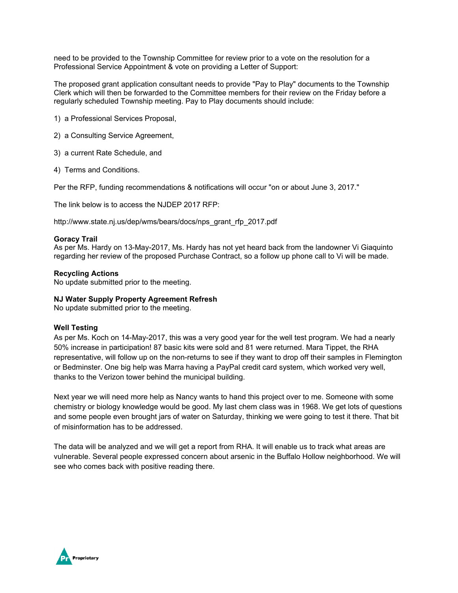need to be provided to the Township Committee for review prior to a vote on the resolution for a Professional Service Appointment & vote on providing a Letter of Support:

The proposed grant application consultant needs to provide "Pay to Play" documents to the Township Clerk which will then be forwarded to the Committee members for their review on the Friday before a regularly scheduled Township meeting. Pay to Play documents should include:

- 1) a Professional Services Proposal,
- 2) a Consulting Service Agreement,
- 3) a current Rate Schedule, and
- 4) Terms and Conditions.

Per the RFP, funding recommendations & notifications will occur "on or about June 3, 2017."

The link below is to access the NJDEP 2017 RFP:

http://www.state.nj.us/dep/wms/bears/docs/nps\_grant\_rfp\_2017.pdf

#### **Goracy Trail**

As per Ms. Hardy on 13-May-2017, Ms. Hardy has not yet heard back from the landowner Vi Giaquinto regarding her review of the proposed Purchase Contract, so a follow up phone call to Vi will be made.

#### **Recycling Actions**

No update submitted prior to the meeting.

#### **NJ Water Supply Property Agreement Refresh**

No update submitted prior to the meeting.

#### **Well Testing**

As per Ms. Koch on 14-May-2017, this was a very good year for the well test program. We had a nearly 50% increase in participation! 87 basic kits were sold and 81 were returned. Mara Tippet, the RHA representative, will follow up on the non-returns to see if they want to drop off their samples in Flemington or Bedminster. One big help was Marra having a PayPal credit card system, which worked very well, thanks to the Verizon tower behind the municipal building.

Next year we will need more help as Nancy wants to hand this project over to me. Someone with some chemistry or biology knowledge would be good. My last chem class was in 1968. We get lots of questions and some people even brought jars of water on Saturday, thinking we were going to test it there. That bit of misinformation has to be addressed.

The data will be analyzed and we will get a report from RHA. It will enable us to track what areas are vulnerable. Several people expressed concern about arsenic in the Buffalo Hollow neighborhood. We will see who comes back with positive reading there.

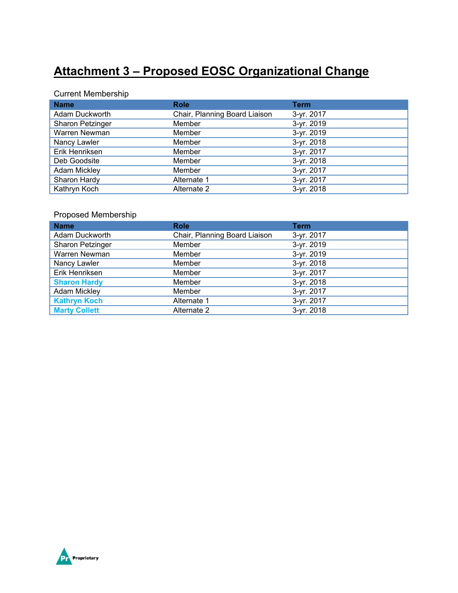# **Attachment 3 – Proposed EOSC Organizational Change**

## Current Membership

| <b>Name</b>         | <b>Role</b>                   | <b>Term</b> |
|---------------------|-------------------------------|-------------|
| Adam Duckworth      | Chair, Planning Board Liaison | 3-yr. 2017  |
| Sharon Petzinger    | Member                        | 3-yr. 2019  |
| Warren Newman       | Member                        | 3-yr. 2019  |
| Nancy Lawler        | Member                        | 3-yr. 2018  |
| Erik Henriksen      | Member                        | 3-yr. 2017  |
| Deb Goodsite        | Member                        | 3-yr. 2018  |
| <b>Adam Mickley</b> | Member                        | 3-yr. 2017  |
| Sharon Hardy        | Alternate 1                   | 3-yr. 2017  |
| Kathryn Koch        | Alternate 2                   | 3-yr. 2018  |

## Proposed Membership

| <b>Name</b>          | <b>Role</b>                   | <b>Term</b> |
|----------------------|-------------------------------|-------------|
| Adam Duckworth       | Chair, Planning Board Liaison | 3-yr. 2017  |
| Sharon Petzinger     | Member                        | 3-yr. 2019  |
| Warren Newman        | Member                        | 3-yr. 2019  |
| Nancy Lawler         | Member                        | 3-yr. 2018  |
| Erik Henriksen       | Member                        | 3-yr. 2017  |
| <b>Sharon Hardy</b>  | Member                        | 3-yr. 2018  |
| Adam Mickley         | Member                        | 3-yr. 2017  |
| <b>Kathryn Koch</b>  | Alternate 1                   | 3-yr. 2017  |
| <b>Marty Collett</b> | Alternate 2                   | 3-yr. 2018  |

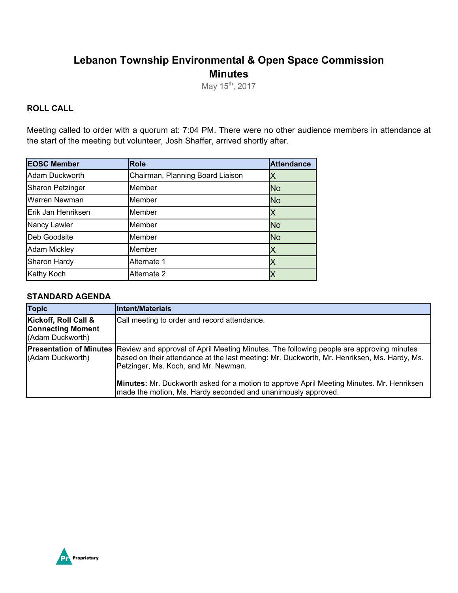## **Lebanon Township Environmental & Open Space Commission Minutes**

May 15<sup>th</sup>, 2017

## **ROLL CALL**

Meeting called to order with a quorum at: 7:04 PM. There were no other audience members in attendance at the start of the meeting but volunteer, Josh Shaffer, arrived shortly after.

| <b>EOSC Member</b>      | <b>Role</b>                      | <b>Attendance</b> |
|-------------------------|----------------------------------|-------------------|
| Adam Duckworth          | Chairman, Planning Board Liaison | Χ                 |
| <b>Sharon Petzinger</b> | Member                           | <b>No</b>         |
| Warren Newman           | Member                           | <b>No</b>         |
| Erik Jan Henriksen      | Member                           | Χ                 |
| Nancy Lawler            | Member                           | <b>No</b>         |
| Deb Goodsite            | Member                           | <b>No</b>         |
| <b>Adam Mickley</b>     | Member                           | Χ                 |
| Sharon Hardy            | Alternate 1                      | X                 |
| <b>Kathy Koch</b>       | Alternate 2                      |                   |

### **STANDARD AGENDA**

| <b>Topic</b>                                                         | <b>Intent/Materials</b>                                                                                                                                                                                                                                                                                                                                            |
|----------------------------------------------------------------------|--------------------------------------------------------------------------------------------------------------------------------------------------------------------------------------------------------------------------------------------------------------------------------------------------------------------------------------------------------------------|
| Kickoff, Roll Call &<br><b>Connecting Moment</b><br>(Adam Duckworth) | Call meeting to order and record attendance.                                                                                                                                                                                                                                                                                                                       |
| (Adam Duckworth)                                                     | <b>Presentation of Minutes</b> Review and approval of April Meeting Minutes. The following people are approving minutes<br>based on their attendance at the last meeting: Mr. Duckworth, Mr. Henriksen, Ms. Hardy, Ms.<br>Petzinger, Ms. Koch, and Mr. Newman.<br><b>Minutes:</b> Mr. Duckworth asked for a motion to approve April Meeting Minutes. Mr. Henriksen |
|                                                                      | made the motion, Ms. Hardy seconded and unanimously approved.                                                                                                                                                                                                                                                                                                      |

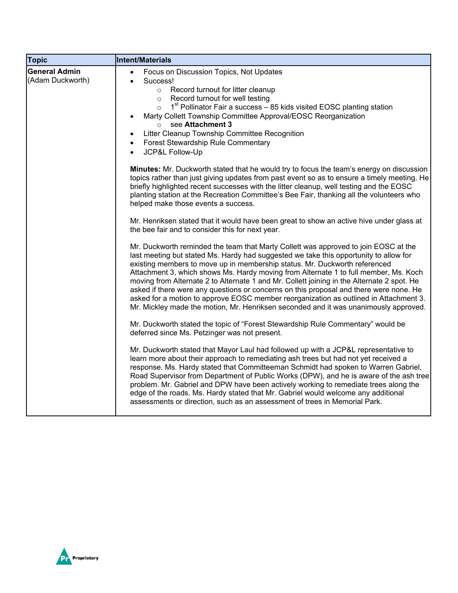| <b>Topic</b>                             | Intent/Materials                                                                                                                                                                                                                                                                                                                                                                                                                                                                                                                                                                                                                                                                                                            |
|------------------------------------------|-----------------------------------------------------------------------------------------------------------------------------------------------------------------------------------------------------------------------------------------------------------------------------------------------------------------------------------------------------------------------------------------------------------------------------------------------------------------------------------------------------------------------------------------------------------------------------------------------------------------------------------------------------------------------------------------------------------------------------|
| <b>General Admin</b><br>(Adam Duckworth) | Focus on Discussion Topics, Not Updates<br>$\bullet$<br>Success!<br>$\bullet$<br>o Record turnout for litter cleanup<br>Record turnout for well testing<br>$\circ$<br>1 <sup>st</sup> Pollinator Fair a success - 85 kids visited EOSC planting station<br>$\circ$<br>Marty Collett Township Committee Approval/EOSC Reorganization<br>$\bullet$<br>see Attachment 3<br>$\circ$<br>Litter Cleanup Township Committee Recognition<br>$\bullet$<br>Forest Stewardship Rule Commentary<br>$\bullet$<br>JCP&L Follow-Up<br><b>Minutes:</b> Mr. Duckworth stated that he would try to focus the team's energy on discussion                                                                                                      |
|                                          | topics rather than just giving updates from past event so as to ensure a timely meeting. He<br>briefly highlighted recent successes with the litter cleanup, well testing and the EOSC<br>planting station at the Recreation Committee's Bee Fair, thanking all the volunteers who<br>helped make those events a success.                                                                                                                                                                                                                                                                                                                                                                                                   |
|                                          | Mr. Henriksen stated that it would have been great to show an active hive under glass at<br>the bee fair and to consider this for next year.                                                                                                                                                                                                                                                                                                                                                                                                                                                                                                                                                                                |
|                                          | Mr. Duckworth reminded the team that Marty Collett was approved to join EOSC at the<br>last meeting but stated Ms. Hardy had suggested we take this opportunity to allow for<br>existing members to move up in membership status. Mr. Duckworth referenced<br>Attachment 3, which shows Ms. Hardy moving from Alternate 1 to full member, Ms. Koch<br>moving from Alternate 2 to Alternate 1 and Mr. Collett joining in the Alternate 2 spot. He<br>asked if there were any questions or concerns on this proposal and there were none. He<br>asked for a motion to approve EOSC member reorganization as outlined in Attachment 3.<br>Mr. Mickley made the motion, Mr. Henriksen seconded and it was unanimously approved. |
|                                          | Mr. Duckworth stated the topic of "Forest Stewardship Rule Commentary" would be<br>deferred since Ms. Petzinger was not present.                                                                                                                                                                                                                                                                                                                                                                                                                                                                                                                                                                                            |
|                                          | Mr. Duckworth stated that Mayor Laul had followed up with a JCP&L representative to<br>learn more about their approach to remediating ash trees but had not yet received a<br>response. Ms. Hardy stated that Committeeman Schmidt had spoken to Warren Gabriel,<br>Road Supervisor from Department of Public Works (DPW), and he is aware of the ash tree<br>problem. Mr. Gabriel and DPW have been actively working to remediate trees along the<br>edge of the roads. Ms. Hardy stated that Mr. Gabriel would welcome any additional<br>assessments or direction, such as an assessment of trees in Memorial Park.                                                                                                       |

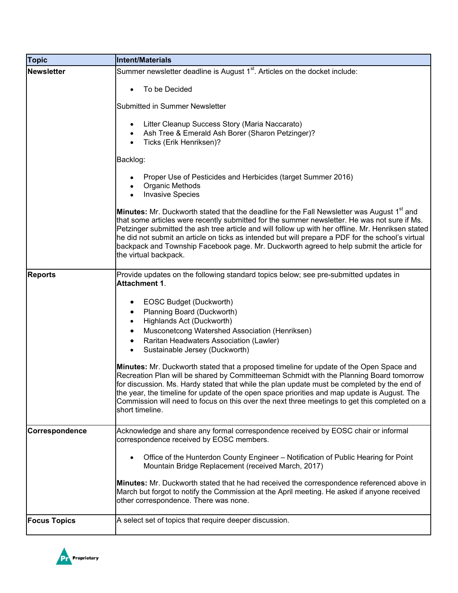| <b>Topic</b>        | <b>Intent/Materials</b>                                                                                                                                                                                                                                                                                                                                                                                                                                                                                                                |
|---------------------|----------------------------------------------------------------------------------------------------------------------------------------------------------------------------------------------------------------------------------------------------------------------------------------------------------------------------------------------------------------------------------------------------------------------------------------------------------------------------------------------------------------------------------------|
| <b>Newsletter</b>   | Summer newsletter deadline is August 1 <sup>st</sup> . Articles on the docket include:                                                                                                                                                                                                                                                                                                                                                                                                                                                 |
|                     | To be Decided                                                                                                                                                                                                                                                                                                                                                                                                                                                                                                                          |
|                     | Submitted in Summer Newsletter                                                                                                                                                                                                                                                                                                                                                                                                                                                                                                         |
|                     | Litter Cleanup Success Story (Maria Naccarato)<br>Ash Tree & Emerald Ash Borer (Sharon Petzinger)?<br>Ticks (Erik Henriksen)?                                                                                                                                                                                                                                                                                                                                                                                                          |
|                     | Backlog:                                                                                                                                                                                                                                                                                                                                                                                                                                                                                                                               |
|                     | Proper Use of Pesticides and Herbicides (target Summer 2016)<br><b>Organic Methods</b><br><b>Invasive Species</b>                                                                                                                                                                                                                                                                                                                                                                                                                      |
|                     | Minutes: Mr. Duckworth stated that the deadline for the Fall Newsletter was August 1 <sup>st</sup> and<br>that some articles were recently submitted for the summer newsletter. He was not sure if Ms.<br>Petzinger submitted the ash tree article and will follow up with her offline. Mr. Henriksen stated<br>he did not submit an article on ticks as intended but will prepare a PDF for the school's virtual<br>backpack and Township Facebook page. Mr. Duckworth agreed to help submit the article for<br>the virtual backpack. |
| <b>Reports</b>      | Provide updates on the following standard topics below; see pre-submitted updates in<br>Attachment 1.                                                                                                                                                                                                                                                                                                                                                                                                                                  |
|                     | EOSC Budget (Duckworth)<br>Planning Board (Duckworth)<br>Highlands Act (Duckworth)<br>Musconetcong Watershed Association (Henriksen)<br>Raritan Headwaters Association (Lawler)<br>$\bullet$<br>Sustainable Jersey (Duckworth)<br>$\bullet$<br>Minutes: Mr. Duckworth stated that a proposed timeline for update of the Open Space and<br>Recreation Plan will be shared by Committeeman Schmidt with the Planning Board tomorrow<br>for discussion. Ms. Hardy stated that while the plan update must be completed by the end of       |
|                     | the year, the timeline for update of the open space priorities and map update is August. The<br>Commission will need to focus on this over the next three meetings to get this completed on a<br>short timeline.                                                                                                                                                                                                                                                                                                                       |
| Correspondence      | Acknowledge and share any formal correspondence received by EOSC chair or informal<br>correspondence received by EOSC members.                                                                                                                                                                                                                                                                                                                                                                                                         |
|                     | Office of the Hunterdon County Engineer - Notification of Public Hearing for Point<br>$\bullet$<br>Mountain Bridge Replacement (received March, 2017)                                                                                                                                                                                                                                                                                                                                                                                  |
|                     | Minutes: Mr. Duckworth stated that he had received the correspondence referenced above in<br>March but forgot to notify the Commission at the April meeting. He asked if anyone received<br>other correspondence. There was none.                                                                                                                                                                                                                                                                                                      |
| <b>Focus Topics</b> | A select set of topics that require deeper discussion.                                                                                                                                                                                                                                                                                                                                                                                                                                                                                 |

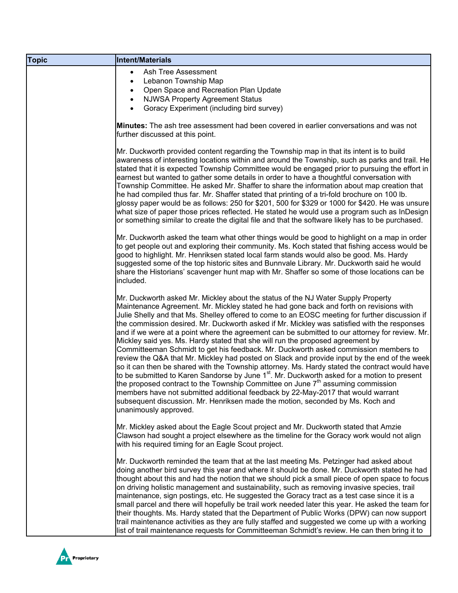| <b>Topic</b> | Intent/Materials                                                                                                                                                                                                                                                                                                                                                                                                                                                                                                                                                                                                                                                                                                                                                                                                                                                                                                                                                                                                                                                                                                                                                                                                                                       |
|--------------|--------------------------------------------------------------------------------------------------------------------------------------------------------------------------------------------------------------------------------------------------------------------------------------------------------------------------------------------------------------------------------------------------------------------------------------------------------------------------------------------------------------------------------------------------------------------------------------------------------------------------------------------------------------------------------------------------------------------------------------------------------------------------------------------------------------------------------------------------------------------------------------------------------------------------------------------------------------------------------------------------------------------------------------------------------------------------------------------------------------------------------------------------------------------------------------------------------------------------------------------------------|
|              | Ash Tree Assessment<br>$\bullet$<br>Lebanon Township Map<br>$\bullet$<br>Open Space and Recreation Plan Update<br>$\bullet$<br><b>NJWSA Property Agreement Status</b><br>$\bullet$<br>Goracy Experiment (including bird survey)                                                                                                                                                                                                                                                                                                                                                                                                                                                                                                                                                                                                                                                                                                                                                                                                                                                                                                                                                                                                                        |
|              | <b>Minutes:</b> The ash tree assessment had been covered in earlier conversations and was not<br>further discussed at this point.                                                                                                                                                                                                                                                                                                                                                                                                                                                                                                                                                                                                                                                                                                                                                                                                                                                                                                                                                                                                                                                                                                                      |
|              | Mr. Duckworth provided content regarding the Township map in that its intent is to build<br>awareness of interesting locations within and around the Township, such as parks and trail. He<br>stated that it is expected Township Committee would be engaged prior to pursuing the effort in<br>earnest but wanted to gather some details in order to have a thoughtful conversation with<br>Township Committee. He asked Mr. Shaffer to share the information about map creation that<br>he had compiled thus far. Mr. Shaffer stated that printing of a tri-fold brochure on 100 lb.<br>glossy paper would be as follows: 250 for \$201, 500 for \$329 or 1000 for \$420. He was unsure<br>what size of paper those prices reflected. He stated he would use a program such as InDesign<br>or something similar to create the digital file and that the software likely has to be purchased.                                                                                                                                                                                                                                                                                                                                                         |
|              | Mr. Duckworth asked the team what other things would be good to highlight on a map in order<br>to get people out and exploring their community. Ms. Koch stated that fishing access would be<br>good to highlight. Mr. Henriksen stated local farm stands would also be good. Ms. Hardy<br>suggested some of the top historic sites and Bunnvale Library. Mr. Duckworth said he would<br>share the Historians' scavenger hunt map with Mr. Shaffer so some of those locations can be<br>included.                                                                                                                                                                                                                                                                                                                                                                                                                                                                                                                                                                                                                                                                                                                                                      |
|              | Mr. Duckworth asked Mr. Mickley about the status of the NJ Water Supply Property<br>Maintenance Agreement. Mr. Mickley stated he had gone back and forth on revisions with<br>Julie Shelly and that Ms. Shelley offered to come to an EOSC meeting for further discussion if<br>the commission desired. Mr. Duckworth asked if Mr. Mickley was satisfied with the responses<br>and if we were at a point where the agreement can be submitted to our attorney for review. Mr.<br>Mickley said yes. Ms. Hardy stated that she will run the proposed agreement by<br>Committeeman Schmidt to get his feedback. Mr. Duckworth asked commission members to<br>review the Q&A that Mr. Mickley had posted on Slack and provide input by the end of the week<br>so it can then be shared with the Township attorney. Ms. Hardy stated the contract would have<br>to be submitted to Karen Sandorse by June 1 <sup>st</sup> . Mr. Duckworth asked for a motion to present<br>the proposed contract to the Township Committee on June $7th$ assuming commission<br>members have not submitted additional feedback by 22-May-2017 that would warrant<br>subsequent discussion. Mr. Henriksen made the motion, seconded by Ms. Koch and<br>unanimously approved. |
|              | Mr. Mickley asked about the Eagle Scout project and Mr. Duckworth stated that Amzie<br>Clawson had sought a project elsewhere as the timeline for the Goracy work would not align<br>with his required timing for an Eagle Scout project.                                                                                                                                                                                                                                                                                                                                                                                                                                                                                                                                                                                                                                                                                                                                                                                                                                                                                                                                                                                                              |
|              | Mr. Duckworth reminded the team that at the last meeting Ms. Petzinger had asked about<br>doing another bird survey this year and where it should be done. Mr. Duckworth stated he had<br>thought about this and had the notion that we should pick a small piece of open space to focus<br>on driving holistic management and sustainability, such as removing invasive species, trail<br>maintenance, sign postings, etc. He suggested the Goracy tract as a test case since it is a<br>small parcel and there will hopefully be trail work needed later this year. He asked the team for<br>their thoughts. Ms. Hardy stated that the Department of Public Works (DPW) can now support<br>trail maintenance activities as they are fully staffed and suggested we come up with a working<br>list of trail maintenance requests for Committeeman Schmidt's review. He can then bring it to                                                                                                                                                                                                                                                                                                                                                           |